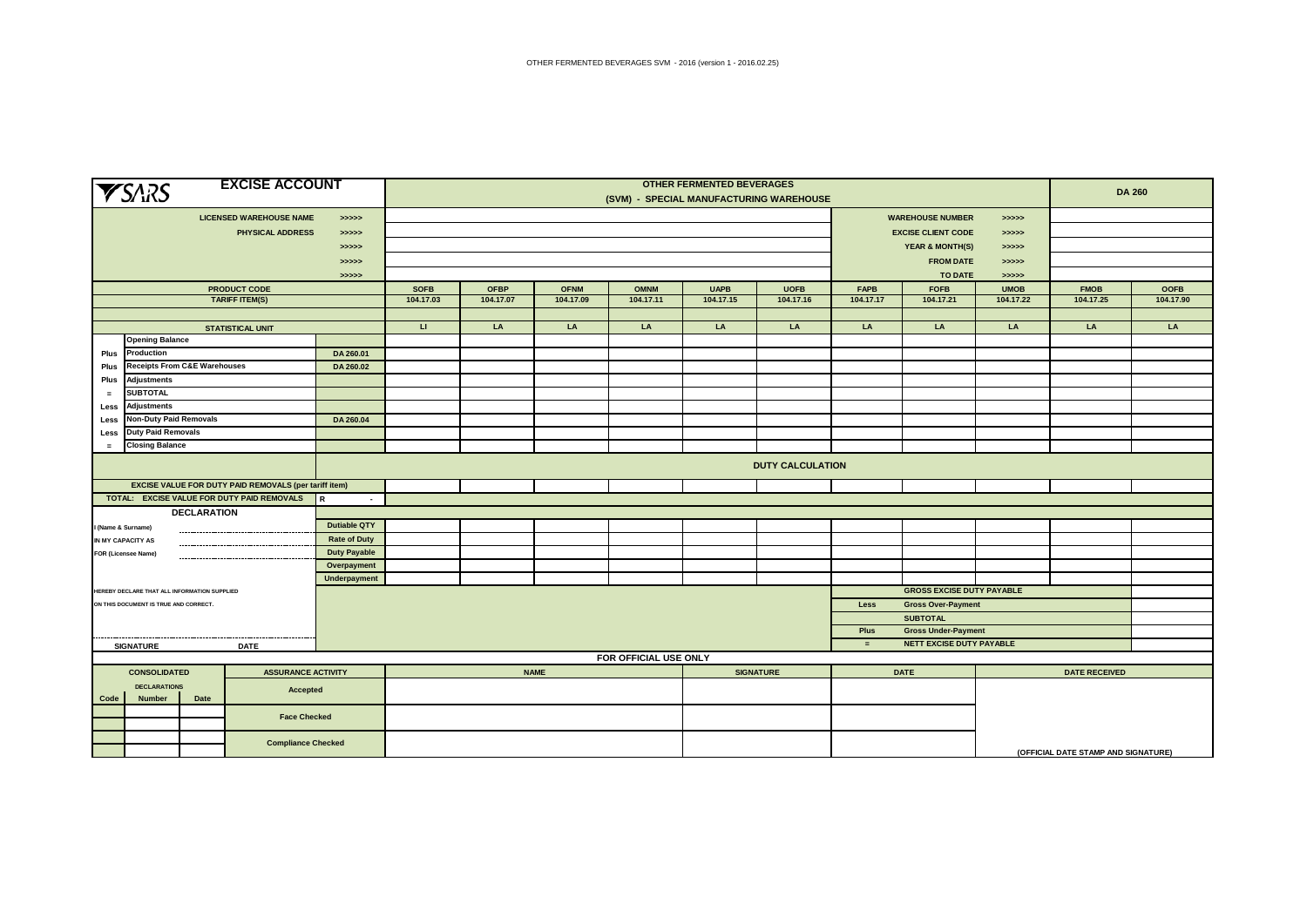| <b>EXCISE ACCOUNT</b><br><b>YSARS</b>            |                                                              |                                                           |                     | <b>OTHER FERMENTED BEVERAGES</b><br>(SVM) - SPECIAL MANUFACTURING WAREHOUSE |             |             |             |             |                  |                                                      |                                  |                   | <b>DA 260</b>                       |             |
|--------------------------------------------------|--------------------------------------------------------------|-----------------------------------------------------------|---------------------|-----------------------------------------------------------------------------|-------------|-------------|-------------|-------------|------------------|------------------------------------------------------|----------------------------------|-------------------|-------------------------------------|-------------|
|                                                  |                                                              | <b>LICENSED WAREHOUSE NAME</b><br><b>PHYSICAL ADDRESS</b> | >>>>>><br>>>>>>     |                                                                             |             |             |             |             |                  | <b>WAREHOUSE NUMBER</b><br><b>EXCISE CLIENT CODE</b> |                                  |                   |                                     |             |
|                                                  |                                                              |                                                           | >>>>>               |                                                                             |             |             |             |             |                  |                                                      | <b>YEAR &amp; MONTH(S)</b>       |                   |                                     |             |
|                                                  |                                                              |                                                           | > >> > > >          |                                                                             |             |             |             |             |                  |                                                      | <b>FROM DATE</b>                 | >>>>><br>> >> > > |                                     |             |
|                                                  |                                                              |                                                           | > >> > >            |                                                                             |             |             |             |             |                  |                                                      | <b>TO DATE</b>                   |                   |                                     |             |
|                                                  |                                                              | <b>PRODUCT CODE</b>                                       |                     | <b>SOFB</b>                                                                 | <b>OFBP</b> | <b>OFNM</b> | <b>OMNM</b> | <b>UAPB</b> | <b>UOFB</b>      | <b>FAPB</b>                                          | <b>FOFB</b>                      | <b>UMOB</b>       | <b>FMOB</b>                         | <b>OOFB</b> |
|                                                  |                                                              | <b>TARIFF ITEM(S)</b>                                     |                     | 104.17.03                                                                   | 104.17.07   | 104.17.09   | 104.17.11   | 104.17.15   | 104.17.16        | 104.17.17                                            | 104.17.21                        | 104.17.22         | 104.17.25                           | 104.17.90   |
|                                                  |                                                              |                                                           |                     |                                                                             |             |             |             |             |                  |                                                      |                                  |                   |                                     |             |
|                                                  |                                                              | <b>STATISTICAL UNIT</b>                                   |                     | <b>u</b>                                                                    | LA          | LA          | LA          | LA          | LA               | LA                                                   | LA                               | LA                | LA                                  | LA          |
|                                                  | <b>Opening Balance</b>                                       |                                                           |                     |                                                                             |             |             |             |             |                  |                                                      |                                  |                   |                                     |             |
| Plus                                             | Production                                                   |                                                           | DA 260.01           |                                                                             |             |             |             |             |                  |                                                      |                                  |                   |                                     |             |
| Plus                                             | <b>Receipts From C&amp;E Warehouses</b>                      |                                                           | DA 260.02           |                                                                             |             |             |             |             |                  |                                                      |                                  |                   |                                     |             |
| Plus                                             | <b>Adjustments</b>                                           |                                                           |                     |                                                                             |             |             |             |             |                  |                                                      |                                  |                   |                                     |             |
| $\equiv$                                         | <b>SUBTOTAL</b>                                              |                                                           |                     |                                                                             |             |             |             |             |                  |                                                      |                                  |                   |                                     |             |
| Less                                             | <b>Adjustments</b>                                           |                                                           |                     |                                                                             |             |             |             |             |                  |                                                      |                                  |                   |                                     |             |
| Less                                             | <b>Non-Duty Paid Removals</b>                                |                                                           | DA 260.04           |                                                                             |             |             |             |             |                  |                                                      |                                  |                   |                                     |             |
|                                                  | <b>Duty Paid Removals</b><br>Less                            |                                                           |                     |                                                                             |             |             |             |             |                  |                                                      |                                  |                   |                                     |             |
| <b>Closing Balance</b><br>$\equiv$               |                                                              |                                                           |                     |                                                                             |             |             |             |             |                  |                                                      |                                  |                   |                                     |             |
|                                                  |                                                              |                                                           |                     | <b>DUTY CALCULATION</b>                                                     |             |             |             |             |                  |                                                      |                                  |                   |                                     |             |
|                                                  | <b>EXCISE VALUE FOR DUTY PAID REMOVALS (per tariff item)</b> |                                                           |                     |                                                                             |             |             |             |             |                  |                                                      |                                  |                   |                                     |             |
|                                                  | TOTAL: EXCISE VALUE FOR DUTY PAID REMOVALS                   |                                                           | $\sim$              |                                                                             |             |             |             |             |                  |                                                      |                                  |                   |                                     |             |
|                                                  | <b>DECLARATION</b>                                           |                                                           |                     |                                                                             |             |             |             |             |                  |                                                      |                                  |                   |                                     |             |
|                                                  | I (Name & Surname)                                           |                                                           | <b>Dutiable QTY</b> |                                                                             |             |             |             |             |                  |                                                      |                                  |                   |                                     |             |
|                                                  | IN MY CAPACITY AS                                            |                                                           | <b>Rate of Duty</b> |                                                                             |             |             |             |             |                  |                                                      |                                  |                   |                                     |             |
|                                                  | <b>FOR (Licensee Name)</b>                                   |                                                           | <b>Duty Payable</b> |                                                                             |             |             |             |             |                  |                                                      |                                  |                   |                                     |             |
|                                                  |                                                              |                                                           | Overpayment         |                                                                             |             |             |             |             |                  |                                                      |                                  |                   |                                     |             |
|                                                  |                                                              |                                                           | Underpayment        |                                                                             |             |             |             |             |                  |                                                      |                                  |                   |                                     |             |
|                                                  | HEREBY DECLARE THAT ALL INFORMATION SUPPLIED                 |                                                           |                     |                                                                             |             |             |             |             |                  |                                                      | <b>GROSS EXCISE DUTY PAYABLE</b> |                   |                                     |             |
|                                                  | ON THIS DOCUMENT IS TRUE AND CORRECT.                        |                                                           |                     |                                                                             |             |             |             |             |                  | Less                                                 | <b>Gross Over-Payment</b>        |                   |                                     |             |
|                                                  |                                                              |                                                           |                     |                                                                             |             |             |             |             |                  |                                                      | <b>SUBTOTAL</b>                  |                   |                                     |             |
|                                                  |                                                              |                                                           |                     |                                                                             |             |             |             |             |                  | Plus                                                 | <b>Gross Under-Payment</b>       |                   |                                     |             |
|                                                  | <b>SIGNATURE</b>                                             | <b>DATE</b>                                               |                     |                                                                             |             |             |             |             |                  | $=$                                                  | NETT EXCISE DUTY PAYABLE         |                   |                                     |             |
|                                                  |                                                              |                                                           |                     | FOR OFFICIAL USE ONLY                                                       |             |             |             |             |                  |                                                      |                                  |                   |                                     |             |
| <b>CONSOLIDATED</b><br><b>ASSURANCE ACTIVITY</b> |                                                              |                                                           |                     |                                                                             |             | <b>NAME</b> |             |             | <b>SIGNATURE</b> |                                                      | <b>DATE</b>                      |                   | <b>DATE RECEIVED</b>                |             |
| <b>DECLARATIONS</b><br>Accepted                  |                                                              |                                                           |                     |                                                                             |             |             |             |             |                  |                                                      |                                  |                   |                                     |             |
|                                                  | Number<br>Code<br>Date                                       |                                                           |                     |                                                                             |             |             |             |             |                  |                                                      |                                  |                   |                                     |             |
|                                                  |                                                              | <b>Face Checked</b>                                       |                     |                                                                             |             |             |             |             |                  |                                                      |                                  |                   |                                     |             |
|                                                  |                                                              |                                                           |                     |                                                                             |             |             |             |             |                  |                                                      |                                  |                   |                                     |             |
|                                                  |                                                              | <b>Compliance Checked</b>                                 |                     |                                                                             |             |             |             |             |                  |                                                      |                                  |                   | (OFFICIAL DATE STAMP AND SIGNATURE) |             |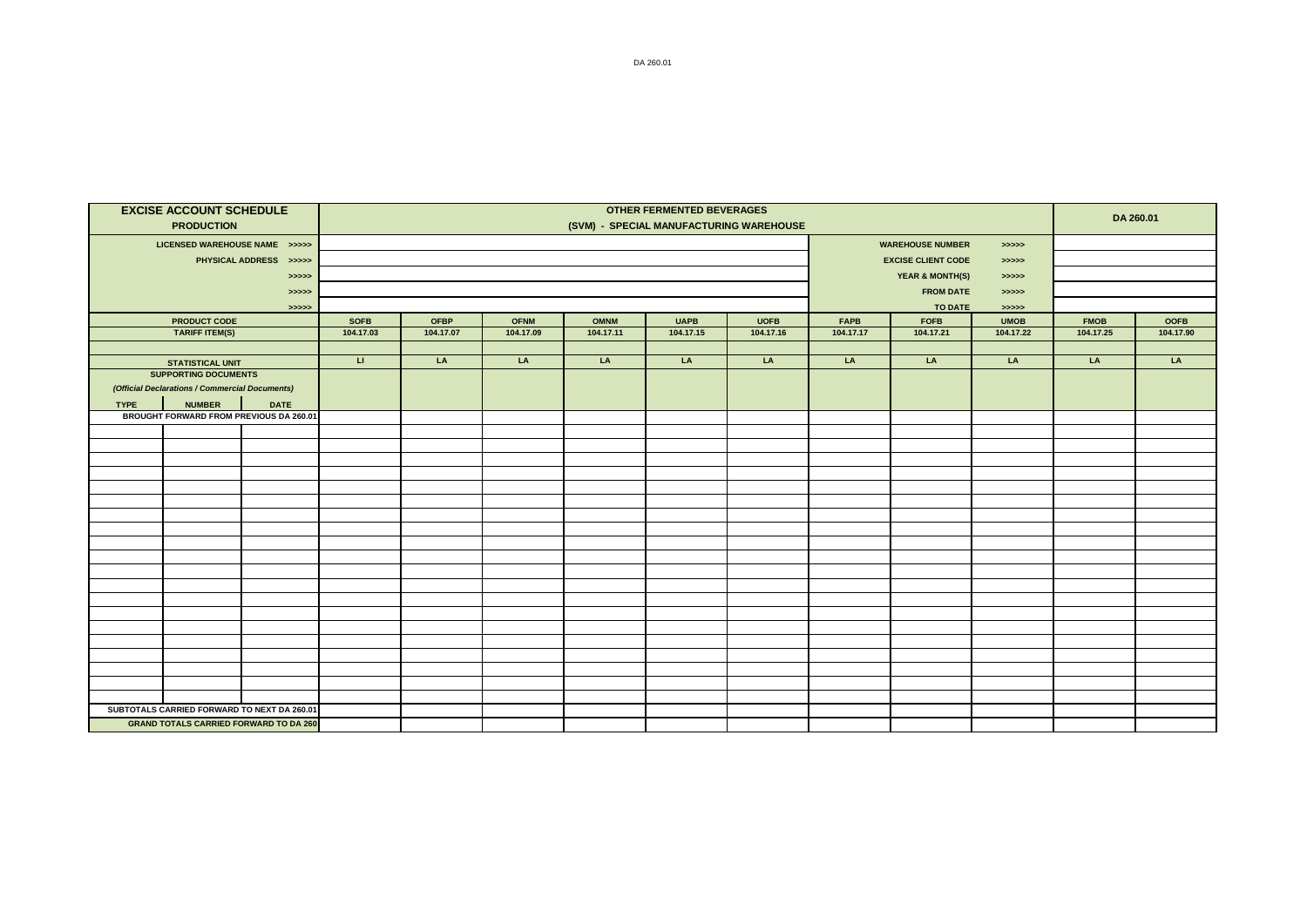|             | <b>EXCISE ACCOUNT SCHEDULE</b>                 |                        | <b>OTHER FERMENTED BEVERAGES</b> |                                         |             |             |             |                  |             |                            |             | DA 260.01   |             |
|-------------|------------------------------------------------|------------------------|----------------------------------|-----------------------------------------|-------------|-------------|-------------|------------------|-------------|----------------------------|-------------|-------------|-------------|
|             | <b>PRODUCTION</b>                              |                        |                                  | (SVM) - SPECIAL MANUFACTURING WAREHOUSE |             |             |             |                  |             |                            |             |             |             |
|             | LICENSED WAREHOUSE NAME >>>>>                  |                        |                                  |                                         |             |             |             |                  |             | <b>WAREHOUSE NUMBER</b>    |             |             |             |
|             |                                                | PHYSICAL ADDRESS >>>>> |                                  |                                         |             |             |             |                  |             | <b>EXCISE CLIENT CODE</b>  | > >> > >    |             |             |
|             |                                                | > >> > > >             |                                  |                                         |             |             |             |                  |             | <b>YEAR &amp; MONTH(S)</b> | >>>>>       |             |             |
|             |                                                | > >> > > >             |                                  |                                         |             |             |             | <b>FROM DATE</b> | >>>>>       |                            |             |             |             |
|             |                                                | > >> > > >             |                                  | <b>TO DATE</b>                          |             |             |             |                  |             |                            |             |             |             |
|             | <b>PRODUCT CODE</b>                            |                        | <b>SOFB</b>                      | <b>OFBP</b>                             | <b>OFNM</b> | <b>OMNM</b> | <b>UAPB</b> | <b>UOFB</b>      | <b>FAPB</b> | <b>FOFB</b>                | <b>UMOB</b> | <b>FMOB</b> | <b>OOFB</b> |
|             | <b>TARIFF ITEM(S)</b>                          |                        | 104.17.03                        | 104.17.07                               | 104.17.09   | 104.17.11   | 104.17.15   | 104.17.16        | 104.17.17   | 104.17.21                  | 104.17.22   | 104.17.25   | 104.17.90   |
|             |                                                |                        |                                  |                                         |             |             |             |                  |             |                            |             |             |             |
|             | <b>STATISTICAL UNIT</b>                        |                        | $\sqcup$                         | LA                                      | LA          | LA          | LA          | LA               | LA          | LA                         | LA          | LA          | LA          |
|             | <b>SUPPORTING DOCUMENTS</b>                    |                        |                                  |                                         |             |             |             |                  |             |                            |             |             |             |
|             | (Official Declarations / Commercial Documents) |                        |                                  |                                         |             |             |             |                  |             |                            |             |             |             |
| <b>TYPE</b> | <b>NUMBER</b>                                  | <b>DATE</b>            |                                  |                                         |             |             |             |                  |             |                            |             |             |             |
|             | BROUGHT FORWARD FROM PREVIOUS DA 260.01        |                        |                                  |                                         |             |             |             |                  |             |                            |             |             |             |
|             |                                                |                        |                                  |                                         |             |             |             |                  |             |                            |             |             |             |
|             |                                                |                        |                                  |                                         |             |             |             |                  |             |                            |             |             |             |
|             |                                                |                        |                                  |                                         |             |             |             |                  |             |                            |             |             |             |
|             |                                                |                        |                                  |                                         |             |             |             |                  |             |                            |             |             |             |
|             |                                                |                        |                                  |                                         |             |             |             |                  |             |                            |             |             |             |
|             |                                                |                        |                                  |                                         |             |             |             |                  |             |                            |             |             |             |
|             |                                                |                        |                                  |                                         |             |             |             |                  |             |                            |             |             |             |
|             |                                                |                        |                                  |                                         |             |             |             |                  |             |                            |             |             |             |
|             |                                                |                        |                                  |                                         |             |             |             |                  |             |                            |             |             |             |
|             |                                                |                        |                                  |                                         |             |             |             |                  |             |                            |             |             |             |
|             |                                                |                        |                                  |                                         |             |             |             |                  |             |                            |             |             |             |
|             |                                                |                        |                                  |                                         |             |             |             |                  |             |                            |             |             |             |
|             |                                                |                        |                                  |                                         |             |             |             |                  |             |                            |             |             |             |
|             |                                                |                        |                                  |                                         |             |             |             |                  |             |                            |             |             |             |
|             |                                                |                        |                                  |                                         |             |             |             |                  |             |                            |             |             |             |
|             |                                                |                        |                                  |                                         |             |             |             |                  |             |                            |             |             |             |
|             |                                                |                        |                                  |                                         |             |             |             |                  |             |                            |             |             |             |
|             |                                                |                        |                                  |                                         |             |             |             |                  |             |                            |             |             |             |
|             |                                                |                        |                                  |                                         |             |             |             |                  |             |                            |             |             |             |
|             | SUBTOTALS CARRIED FORWARD TO NEXT DA 260.01    |                        |                                  |                                         |             |             |             |                  |             |                            |             |             |             |
|             | <b>GRAND TOTALS CARRIED FORWARD TO DA 260</b>  |                        |                                  |                                         |             |             |             |                  |             |                            |             |             |             |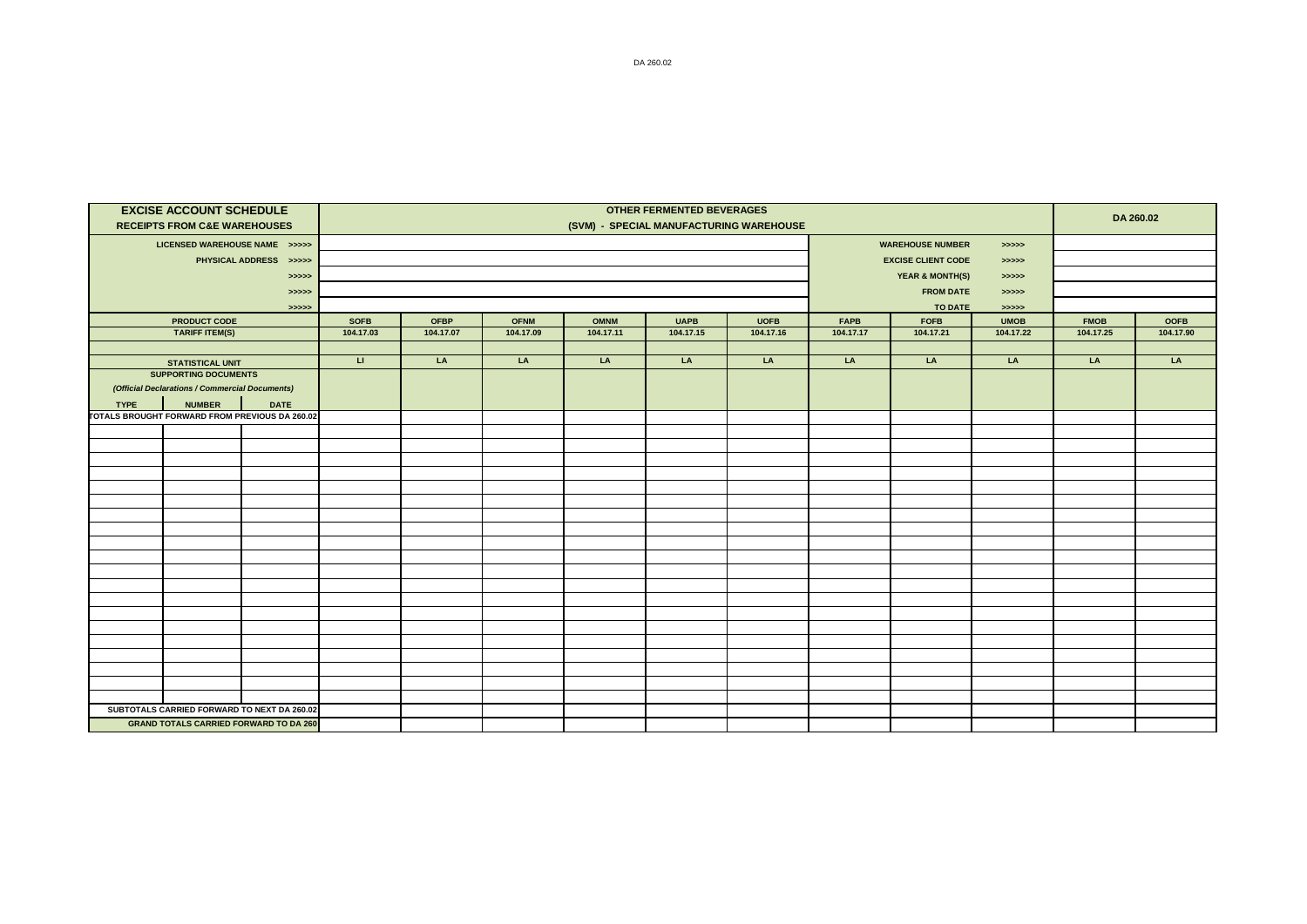|             | <b>EXCISE ACCOUNT SCHEDULE</b><br><b>RECEIPTS FROM C&amp;E WAREHOUSES</b> |                        | <b>OTHER FERMENTED BEVERAGES</b><br>(SVM) - SPECIAL MANUFACTURING WAREHOUSE |                                     |                          |                          |                          |                          |                          |                            |                          |                          | DA 260.02                |  |
|-------------|---------------------------------------------------------------------------|------------------------|-----------------------------------------------------------------------------|-------------------------------------|--------------------------|--------------------------|--------------------------|--------------------------|--------------------------|----------------------------|--------------------------|--------------------------|--------------------------|--|
|             | LICENSED WAREHOUSE NAME >>>>>                                             |                        |                                                                             | <b>WAREHOUSE NUMBER</b><br>> >> > > |                          |                          |                          |                          |                          |                            |                          |                          |                          |  |
|             |                                                                           | PHYSICAL ADDRESS >>>>> |                                                                             |                                     |                          |                          |                          |                          |                          | <b>EXCISE CLIENT CODE</b>  |                          |                          |                          |  |
|             |                                                                           |                        |                                                                             |                                     |                          |                          |                          |                          |                          |                            | > >> > >                 |                          |                          |  |
|             |                                                                           | > >> > > >             |                                                                             |                                     |                          |                          |                          |                          |                          | <b>YEAR &amp; MONTH(S)</b> | >>>>><br>>>>>>           |                          |                          |  |
|             |                                                                           | > >> > > >             |                                                                             |                                     |                          |                          |                          |                          |                          | <b>FROM DATE</b>           |                          |                          |                          |  |
|             |                                                                           | > >> > > >             |                                                                             |                                     |                          |                          |                          |                          |                          | <b>TO DATE</b>             | > >> > >                 |                          |                          |  |
|             | <b>PRODUCT CODE</b><br><b>TARIFF ITEM(S)</b>                              |                        | <b>SOFB</b><br>104.17.03                                                    | <b>OFBP</b><br>104.17.07            | <b>OFNM</b><br>104.17.09 | <b>OMNM</b><br>104.17.11 | <b>UAPB</b><br>104.17.15 | <b>UOFB</b><br>104.17.16 | <b>FAPB</b><br>104.17.17 | <b>FOFB</b><br>104.17.21   | <b>UMOB</b><br>104.17.22 | <b>FMOB</b><br>104.17.25 | <b>OOFB</b><br>104.17.90 |  |
|             |                                                                           |                        |                                                                             |                                     |                          |                          |                          |                          |                          |                            |                          |                          |                          |  |
|             | <b>STATISTICAL UNIT</b>                                                   |                        | $\sqcup$                                                                    | LA                                  | LA                       | LA                       | LA                       | LA                       | LA                       | LA                         | LA                       | LA                       | LA                       |  |
|             | <b>SUPPORTING DOCUMENTS</b>                                               |                        |                                                                             |                                     |                          |                          |                          |                          |                          |                            |                          |                          |                          |  |
|             | (Official Declarations / Commercial Documents)                            |                        |                                                                             |                                     |                          |                          |                          |                          |                          |                            |                          |                          |                          |  |
| <b>TYPE</b> | <b>NUMBER</b>                                                             | <b>DATE</b>            |                                                                             |                                     |                          |                          |                          |                          |                          |                            |                          |                          |                          |  |
|             | TOTALS BROUGHT FORWARD FROM PREVIOUS DA 260.02                            |                        |                                                                             |                                     |                          |                          |                          |                          |                          |                            |                          |                          |                          |  |
|             |                                                                           |                        |                                                                             |                                     |                          |                          |                          |                          |                          |                            |                          |                          |                          |  |
|             |                                                                           |                        |                                                                             |                                     |                          |                          |                          |                          |                          |                            |                          |                          |                          |  |
|             |                                                                           |                        |                                                                             |                                     |                          |                          |                          |                          |                          |                            |                          |                          |                          |  |
|             |                                                                           |                        |                                                                             |                                     |                          |                          |                          |                          |                          |                            |                          |                          |                          |  |
|             |                                                                           |                        |                                                                             |                                     |                          |                          |                          |                          |                          |                            |                          |                          |                          |  |
|             |                                                                           |                        |                                                                             |                                     |                          |                          |                          |                          |                          |                            |                          |                          |                          |  |
|             |                                                                           |                        |                                                                             |                                     |                          |                          |                          |                          |                          |                            |                          |                          |                          |  |
|             |                                                                           |                        |                                                                             |                                     |                          |                          |                          |                          |                          |                            |                          |                          |                          |  |
|             |                                                                           |                        |                                                                             |                                     |                          |                          |                          |                          |                          |                            |                          |                          |                          |  |
|             |                                                                           |                        |                                                                             |                                     |                          |                          |                          |                          |                          |                            |                          |                          |                          |  |
|             |                                                                           |                        |                                                                             |                                     |                          |                          |                          |                          |                          |                            |                          |                          |                          |  |
|             |                                                                           |                        |                                                                             |                                     |                          |                          |                          |                          |                          |                            |                          |                          |                          |  |
|             |                                                                           |                        |                                                                             |                                     |                          |                          |                          |                          |                          |                            |                          |                          |                          |  |
|             |                                                                           |                        |                                                                             |                                     |                          |                          |                          |                          |                          |                            |                          |                          |                          |  |
|             |                                                                           |                        |                                                                             |                                     |                          |                          |                          |                          |                          |                            |                          |                          |                          |  |
|             |                                                                           |                        |                                                                             |                                     |                          |                          |                          |                          |                          |                            |                          |                          |                          |  |
|             |                                                                           |                        |                                                                             |                                     |                          |                          |                          |                          |                          |                            |                          |                          |                          |  |
|             |                                                                           |                        |                                                                             |                                     |                          |                          |                          |                          |                          |                            |                          |                          |                          |  |
|             |                                                                           |                        |                                                                             |                                     |                          |                          |                          |                          |                          |                            |                          |                          |                          |  |
|             | SUBTOTALS CARRIED FORWARD TO NEXT DA 260.02                               |                        |                                                                             |                                     |                          |                          |                          |                          |                          |                            |                          |                          |                          |  |
|             | <b>GRAND TOTALS CARRIED FORWARD TO DA 260</b>                             |                        |                                                                             |                                     |                          |                          |                          |                          |                          |                            |                          |                          |                          |  |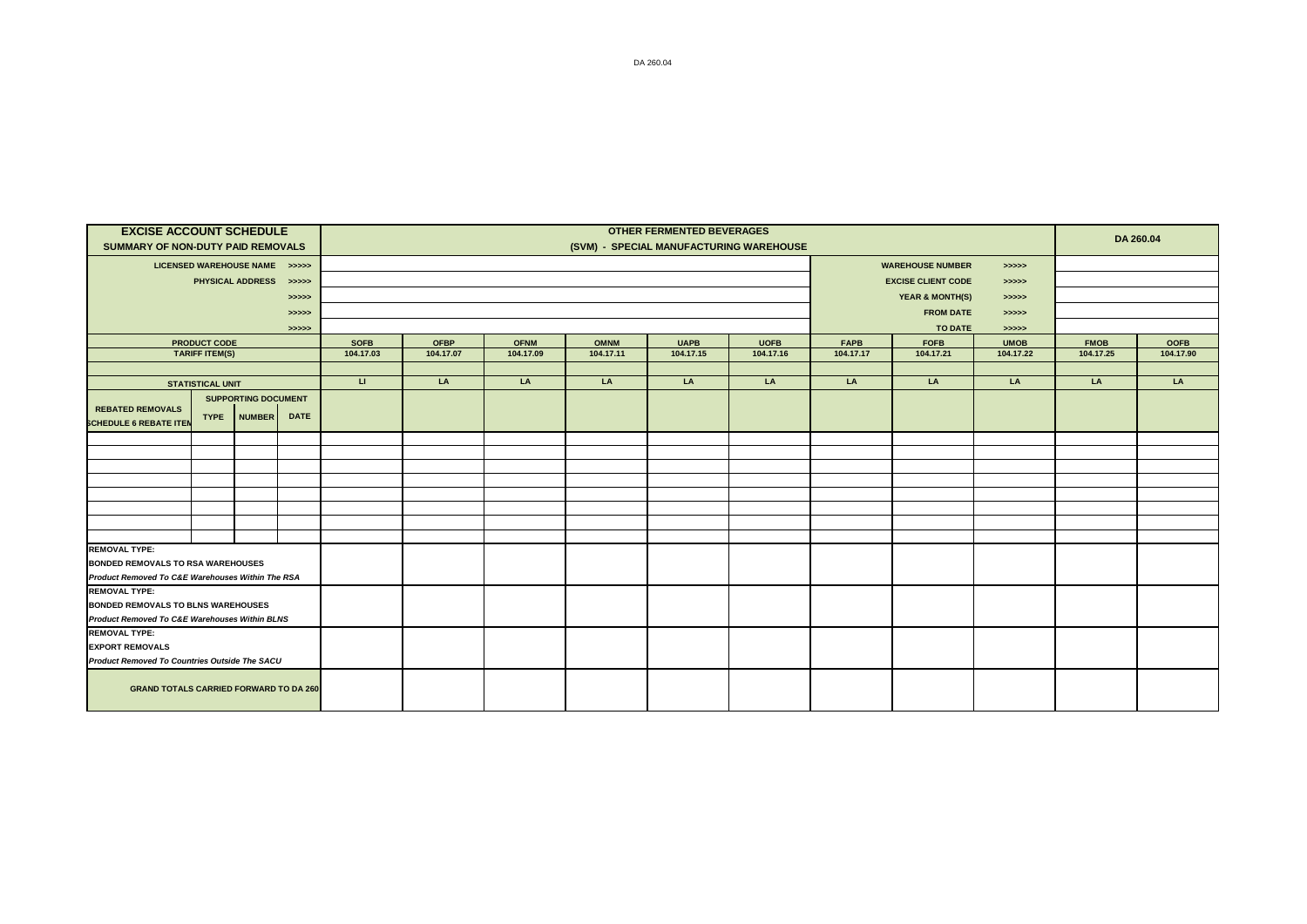| <b>EXCISE ACCOUNT SCHEDULE</b>                                                               |                         |                               |             | <b>OTHER FERMENTED BEVERAGES</b> |                                         |             |             |             |             |                                  |                            |             |             | DA 260.04   |  |
|----------------------------------------------------------------------------------------------|-------------------------|-------------------------------|-------------|----------------------------------|-----------------------------------------|-------------|-------------|-------------|-------------|----------------------------------|----------------------------|-------------|-------------|-------------|--|
| SUMMARY OF NON-DUTY PAID REMOVALS                                                            |                         |                               |             |                                  | (SVM) - SPECIAL MANUFACTURING WAREHOUSE |             |             |             |             |                                  |                            |             |             |             |  |
|                                                                                              |                         | LICENSED WAREHOUSE NAME >>>>> |             |                                  |                                         |             |             |             |             | <b>WAREHOUSE NUMBER</b><br>>>>>> |                            |             |             |             |  |
|                                                                                              |                         | PHYSICAL ADDRESS >>>>>        |             |                                  |                                         |             |             |             |             |                                  | <b>EXCISE CLIENT CODE</b>  | >>>>>       |             |             |  |
|                                                                                              |                         |                               | > >> > >    |                                  |                                         |             |             |             |             |                                  | <b>YEAR &amp; MONTH(S)</b> | >>>>>       |             |             |  |
|                                                                                              |                         |                               | >>>>>       |                                  |                                         |             |             |             |             |                                  | <b>FROM DATE</b>           | >>>>>       |             |             |  |
|                                                                                              |                         |                               | > >> > >    |                                  |                                         |             |             |             |             |                                  | TO DATE                    | > >> > >    |             |             |  |
|                                                                                              | <b>PRODUCT CODE</b>     |                               |             | <b>SOFB</b>                      | <b>OFBP</b>                             | <b>OFNM</b> | <b>OMNM</b> | <b>UAPB</b> | <b>UOFB</b> | <b>FAPB</b>                      | <b>FOFB</b>                | <b>UMOB</b> | <b>FMOB</b> | <b>OOFB</b> |  |
|                                                                                              | <b>TARIFF ITEM(S)</b>   |                               |             | 104.17.03                        | 104.17.07                               | 104.17.09   | 104.17.11   | 104.17.15   | 104.17.16   | 104.17.17                        | 104.17.21                  | 104.17.22   | 104.17.25   | 104.17.90   |  |
|                                                                                              |                         |                               |             |                                  |                                         |             |             |             |             |                                  |                            |             |             |             |  |
|                                                                                              | <b>STATISTICAL UNIT</b> |                               |             | $\mathbf{H}$                     | LA                                      | LA          | LA          | LA          | LA          | LA                               | LA                         | LA          | LA          | LA          |  |
|                                                                                              |                         | <b>SUPPORTING DOCUMENT</b>    |             |                                  |                                         |             |             |             |             |                                  |                            |             |             |             |  |
| <b>REBATED REMOVALS</b>                                                                      | <b>TYPE</b>             | <b>NUMBER</b>                 | <b>DATE</b> |                                  |                                         |             |             |             |             |                                  |                            |             |             |             |  |
| <b>SCHEDULE 6 REBATE ITEN</b>                                                                |                         |                               |             |                                  |                                         |             |             |             |             |                                  |                            |             |             |             |  |
|                                                                                              |                         |                               |             |                                  |                                         |             |             |             |             |                                  |                            |             |             |             |  |
|                                                                                              |                         |                               |             |                                  |                                         |             |             |             |             |                                  |                            |             |             |             |  |
|                                                                                              |                         |                               |             |                                  |                                         |             |             |             |             |                                  |                            |             |             |             |  |
|                                                                                              |                         |                               |             |                                  |                                         |             |             |             |             |                                  |                            |             |             |             |  |
|                                                                                              |                         |                               |             |                                  |                                         |             |             |             |             |                                  |                            |             |             |             |  |
|                                                                                              |                         |                               |             |                                  |                                         |             |             |             |             |                                  |                            |             |             |             |  |
|                                                                                              |                         |                               |             |                                  |                                         |             |             |             |             |                                  |                            |             |             |             |  |
|                                                                                              |                         |                               |             |                                  |                                         |             |             |             |             |                                  |                            |             |             |             |  |
| <b>REMOVAL TYPE:</b>                                                                         |                         |                               |             |                                  |                                         |             |             |             |             |                                  |                            |             |             |             |  |
| <b>BONDED REMOVALS TO RSA WAREHOUSES</b><br>Product Removed To C&E Warehouses Within The RSA |                         |                               |             |                                  |                                         |             |             |             |             |                                  |                            |             |             |             |  |
| <b>REMOVAL TYPE:</b>                                                                         |                         |                               |             |                                  |                                         |             |             |             |             |                                  |                            |             |             |             |  |
| <b>BONDED REMOVALS TO BLNS WAREHOUSES</b>                                                    |                         |                               |             |                                  |                                         |             |             |             |             |                                  |                            |             |             |             |  |
|                                                                                              |                         |                               |             |                                  |                                         |             |             |             |             |                                  |                            |             |             |             |  |
| Product Removed To C&E Warehouses Within BLNS<br><b>REMOVAL TYPE:</b>                        |                         |                               |             |                                  |                                         |             |             |             |             |                                  |                            |             |             |             |  |
| <b>EXPORT REMOVALS</b>                                                                       |                         |                               |             |                                  |                                         |             |             |             |             |                                  |                            |             |             |             |  |
| <b>Product Removed To Countries Outside The SACU</b>                                         |                         |                               |             |                                  |                                         |             |             |             |             |                                  |                            |             |             |             |  |
|                                                                                              |                         |                               |             |                                  |                                         |             |             |             |             |                                  |                            |             |             |             |  |
| <b>GRAND TOTALS CARRIED FORWARD TO DA 260</b>                                                |                         |                               |             |                                  |                                         |             |             |             |             |                                  |                            |             |             |             |  |